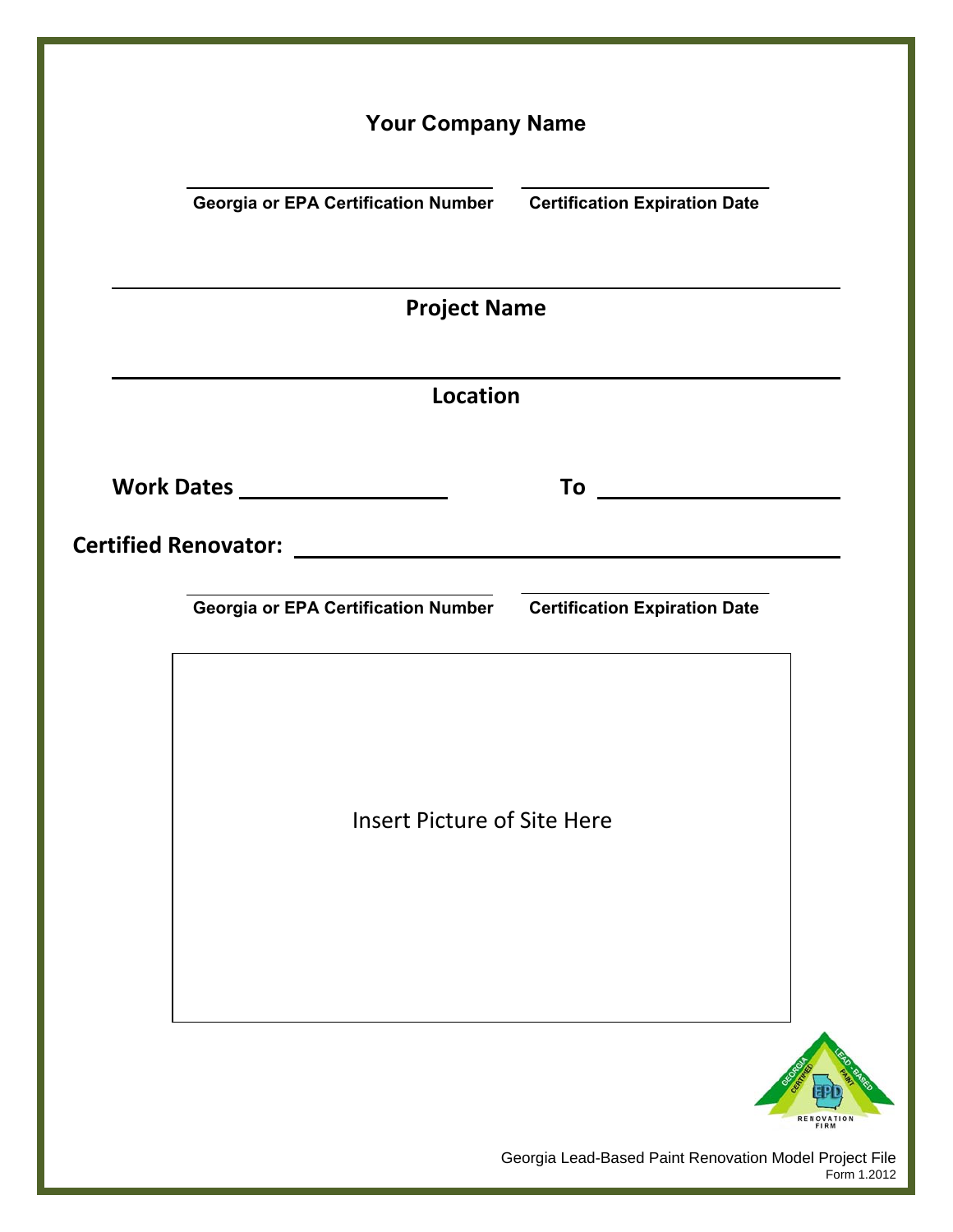| <b>Your Company Name</b>                                          |                                                                |
|-------------------------------------------------------------------|----------------------------------------------------------------|
| Georgia or EPA Certification Number Certification Expiration Date |                                                                |
| <b>Project Name</b>                                               |                                                                |
| <b>Location</b>                                                   |                                                                |
| Work Dates ____________________                                   |                                                                |
|                                                                   |                                                                |
| Georgia or EPA Certification Number Certification Expiration Date |                                                                |
|                                                                   |                                                                |
|                                                                   |                                                                |
| <b>Insert Picture of Site Here</b>                                |                                                                |
|                                                                   |                                                                |
|                                                                   |                                                                |
|                                                                   |                                                                |
|                                                                   | FIRM<br>Georgia Lead-Based Paint Renovation Model Project File |

Form 1.2012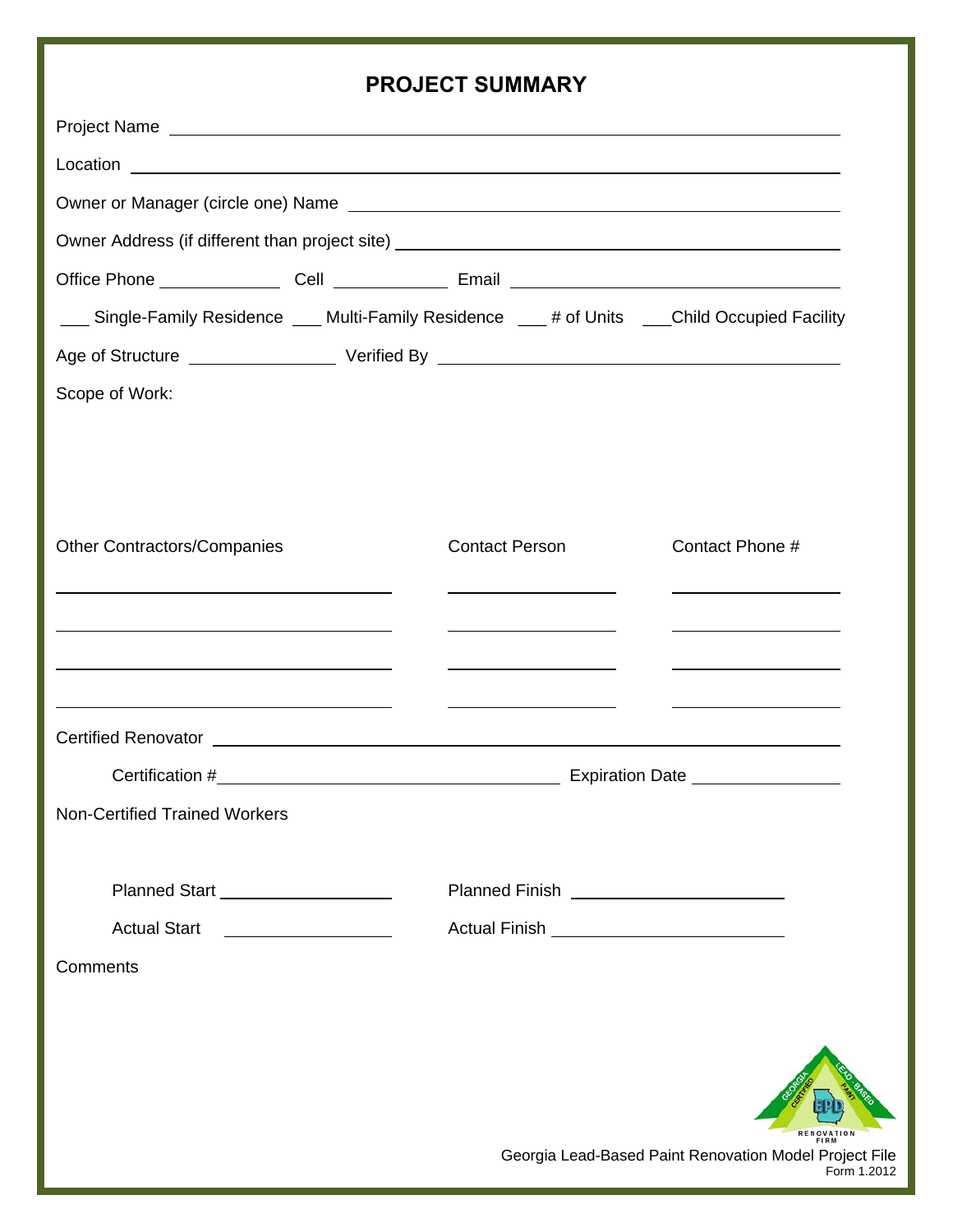### **PROJECT SUMMARY**

|                                                                                                                       | INVULVI UUININAINI                                                                                                                                                                                                                   |                                                                                                                         |
|-----------------------------------------------------------------------------------------------------------------------|--------------------------------------------------------------------------------------------------------------------------------------------------------------------------------------------------------------------------------------|-------------------------------------------------------------------------------------------------------------------------|
|                                                                                                                       |                                                                                                                                                                                                                                      |                                                                                                                         |
|                                                                                                                       |                                                                                                                                                                                                                                      |                                                                                                                         |
|                                                                                                                       |                                                                                                                                                                                                                                      |                                                                                                                         |
|                                                                                                                       |                                                                                                                                                                                                                                      |                                                                                                                         |
|                                                                                                                       |                                                                                                                                                                                                                                      |                                                                                                                         |
| ___ Single-Family Residence ___ Multi-Family Residence ___ # of Units ___Child Occupied Facility                      |                                                                                                                                                                                                                                      |                                                                                                                         |
|                                                                                                                       |                                                                                                                                                                                                                                      |                                                                                                                         |
| Scope of Work:                                                                                                        |                                                                                                                                                                                                                                      |                                                                                                                         |
|                                                                                                                       |                                                                                                                                                                                                                                      |                                                                                                                         |
|                                                                                                                       |                                                                                                                                                                                                                                      |                                                                                                                         |
|                                                                                                                       |                                                                                                                                                                                                                                      |                                                                                                                         |
| <b>Other Contractors/Companies</b>                                                                                    | <b>Contact Person</b>                                                                                                                                                                                                                | Contact Phone #                                                                                                         |
|                                                                                                                       | <u> 1980 - Jan Barbara Barbara, prima prima prima prima prima prima prima prima prima prima prima prima prima pri</u>                                                                                                                | <u> Alexandro Alexandro Alexandro Alexandro Alexandro Alexandro Alexandro Alexandro Alexandro Alexandro Alexandro </u>  |
| <u> 1989 - Andrea Barbara, Amerikaansk politiker (d. 1989)</u>                                                        | <u> 1989 - Johann Barn, mars eta bainar eta bainar eta baina eta baina eta baina eta baina eta baina eta baina e</u>                                                                                                                 | <u> Andreas Andreas Andreas Andreas Andreas Andreas Andreas Andreas Andreas Andreas Andreas Andreas Andreas Andreas</u> |
|                                                                                                                       |                                                                                                                                                                                                                                      |                                                                                                                         |
| <u> 1980 - Johann John Stone, meil in der Stone besteht der Stone besteht der Stone besteht der Stone besteht der</u> | <u> 1989 - Johann Barn, mars et al. (b. 1989)</u>                                                                                                                                                                                    | <u> Albanya di Barat di Barat di Barat di Barat di Barat di Barat di Barat di Barat di Barat di Barat di Barat d</u>    |
| Certified Renovator Law Management Certified Renovator Law Management Certified Renovator                             |                                                                                                                                                                                                                                      |                                                                                                                         |
|                                                                                                                       |                                                                                                                                                                                                                                      |                                                                                                                         |
| <b>Non-Certified Trained Workers</b>                                                                                  |                                                                                                                                                                                                                                      |                                                                                                                         |
|                                                                                                                       |                                                                                                                                                                                                                                      |                                                                                                                         |
| Planned Start _____________________                                                                                   | Planned Finish <u>example and the set of the set of the set of the set of the set of the set of the set of the set of the set of the set of the set of the set of the set of the set of the set of the set of the set of the set</u> |                                                                                                                         |
| <b>Actual Start</b>                                                                                                   |                                                                                                                                                                                                                                      |                                                                                                                         |
| Comments                                                                                                              |                                                                                                                                                                                                                                      |                                                                                                                         |
|                                                                                                                       |                                                                                                                                                                                                                                      |                                                                                                                         |
|                                                                                                                       |                                                                                                                                                                                                                                      |                                                                                                                         |
|                                                                                                                       |                                                                                                                                                                                                                                      |                                                                                                                         |
|                                                                                                                       |                                                                                                                                                                                                                                      |                                                                                                                         |
|                                                                                                                       |                                                                                                                                                                                                                                      | Georgia Lead-Based Paint Renovation Model Project File                                                                  |
|                                                                                                                       |                                                                                                                                                                                                                                      | Form 1.2012                                                                                                             |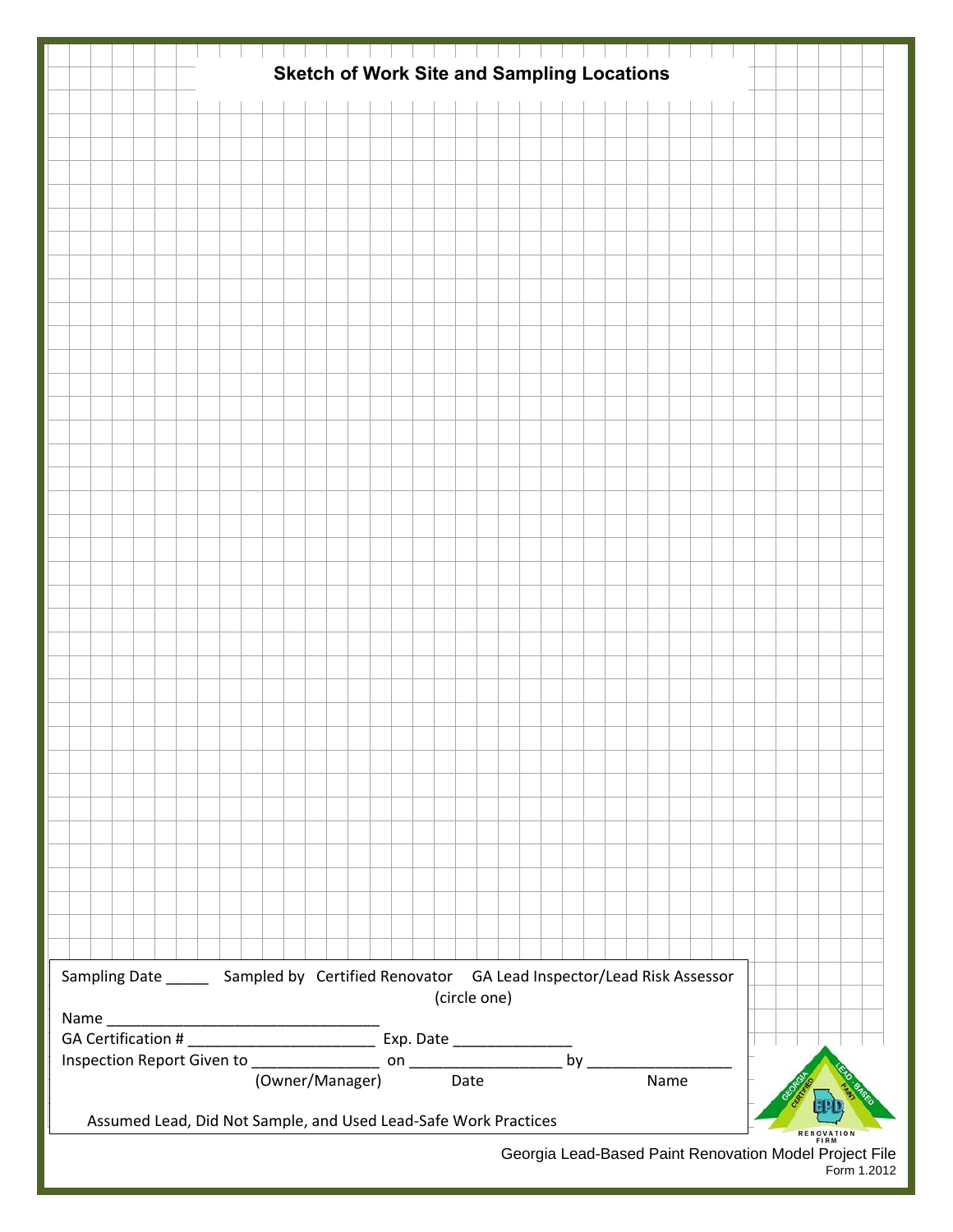|                                                                       |                                                                                            | <b>Sketch of Work Site and Sampling Locations</b> |  |  |  |  |  |  |
|-----------------------------------------------------------------------|--------------------------------------------------------------------------------------------|---------------------------------------------------|--|--|--|--|--|--|
|                                                                       |                                                                                            |                                                   |  |  |  |  |  |  |
|                                                                       |                                                                                            |                                                   |  |  |  |  |  |  |
|                                                                       |                                                                                            |                                                   |  |  |  |  |  |  |
|                                                                       |                                                                                            |                                                   |  |  |  |  |  |  |
|                                                                       |                                                                                            |                                                   |  |  |  |  |  |  |
|                                                                       |                                                                                            |                                                   |  |  |  |  |  |  |
|                                                                       |                                                                                            |                                                   |  |  |  |  |  |  |
|                                                                       |                                                                                            |                                                   |  |  |  |  |  |  |
|                                                                       |                                                                                            |                                                   |  |  |  |  |  |  |
|                                                                       |                                                                                            |                                                   |  |  |  |  |  |  |
|                                                                       |                                                                                            |                                                   |  |  |  |  |  |  |
|                                                                       |                                                                                            |                                                   |  |  |  |  |  |  |
|                                                                       |                                                                                            |                                                   |  |  |  |  |  |  |
|                                                                       |                                                                                            |                                                   |  |  |  |  |  |  |
|                                                                       |                                                                                            |                                                   |  |  |  |  |  |  |
|                                                                       |                                                                                            |                                                   |  |  |  |  |  |  |
|                                                                       |                                                                                            |                                                   |  |  |  |  |  |  |
|                                                                       |                                                                                            |                                                   |  |  |  |  |  |  |
|                                                                       |                                                                                            |                                                   |  |  |  |  |  |  |
|                                                                       |                                                                                            |                                                   |  |  |  |  |  |  |
|                                                                       |                                                                                            |                                                   |  |  |  |  |  |  |
|                                                                       |                                                                                            |                                                   |  |  |  |  |  |  |
|                                                                       |                                                                                            |                                                   |  |  |  |  |  |  |
|                                                                       |                                                                                            |                                                   |  |  |  |  |  |  |
|                                                                       |                                                                                            |                                                   |  |  |  |  |  |  |
|                                                                       |                                                                                            |                                                   |  |  |  |  |  |  |
|                                                                       |                                                                                            |                                                   |  |  |  |  |  |  |
|                                                                       |                                                                                            |                                                   |  |  |  |  |  |  |
|                                                                       |                                                                                            |                                                   |  |  |  |  |  |  |
|                                                                       |                                                                                            |                                                   |  |  |  |  |  |  |
|                                                                       |                                                                                            |                                                   |  |  |  |  |  |  |
|                                                                       |                                                                                            |                                                   |  |  |  |  |  |  |
|                                                                       |                                                                                            |                                                   |  |  |  |  |  |  |
|                                                                       |                                                                                            |                                                   |  |  |  |  |  |  |
|                                                                       | Sampling Date ________ Sampled by Certified Renovator GA Lead Inspector/Lead Risk Assessor |                                                   |  |  |  |  |  |  |
|                                                                       |                                                                                            | (circle one)                                      |  |  |  |  |  |  |
|                                                                       |                                                                                            |                                                   |  |  |  |  |  |  |
|                                                                       |                                                                                            |                                                   |  |  |  |  |  |  |
|                                                                       |                                                                                            |                                                   |  |  |  |  |  |  |
|                                                                       |                                                                                            |                                                   |  |  |  |  |  |  |
| Assumed Lead, Did Not Sample, and Used Lead-Safe Work Practices       |                                                                                            |                                                   |  |  |  |  |  |  |
| Georgia Lead-Based Paint Renovation Model Project File<br>Form 1.2012 |                                                                                            |                                                   |  |  |  |  |  |  |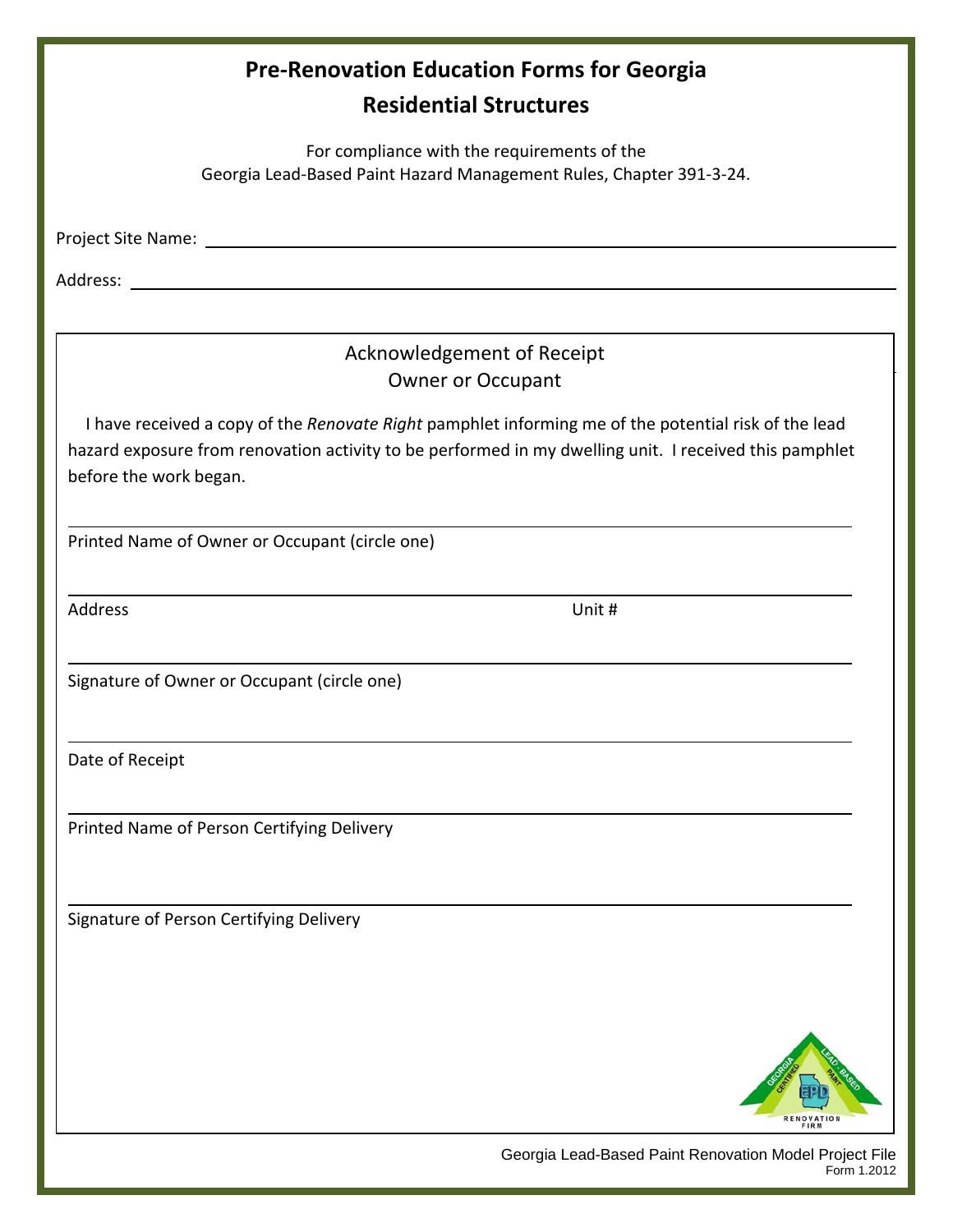| <b>Pre-Renovation Education Forms for Georgia</b><br><b>Residential Structures</b>                                                                                                                                                       |
|------------------------------------------------------------------------------------------------------------------------------------------------------------------------------------------------------------------------------------------|
| For compliance with the requirements of the<br>Georgia Lead-Based Paint Hazard Management Rules, Chapter 391-3-24.                                                                                                                       |
|                                                                                                                                                                                                                                          |
| Address: <u>with the contract of the contract of the contract of the contract of the contract of the contract of the contract of the contract of the contract of the contract of the contract of the contract of the contract of</u>     |
| Acknowledgement of Receipt<br><b>Owner or Occupant</b>                                                                                                                                                                                   |
| I have received a copy of the Renovate Right pamphlet informing me of the potential risk of the lead<br>hazard exposure from renovation activity to be performed in my dwelling unit. I received this pamphlet<br>before the work began. |
| Printed Name of Owner or Occupant (circle one)                                                                                                                                                                                           |
| Address<br>Unit #                                                                                                                                                                                                                        |
| Signature of Owner or Occupant (circle one)                                                                                                                                                                                              |
| Date of Receipt                                                                                                                                                                                                                          |
| Printed Name of Person Certifying Delivery                                                                                                                                                                                               |
| Signature of Person Certifying Delivery                                                                                                                                                                                                  |
|                                                                                                                                                                                                                                          |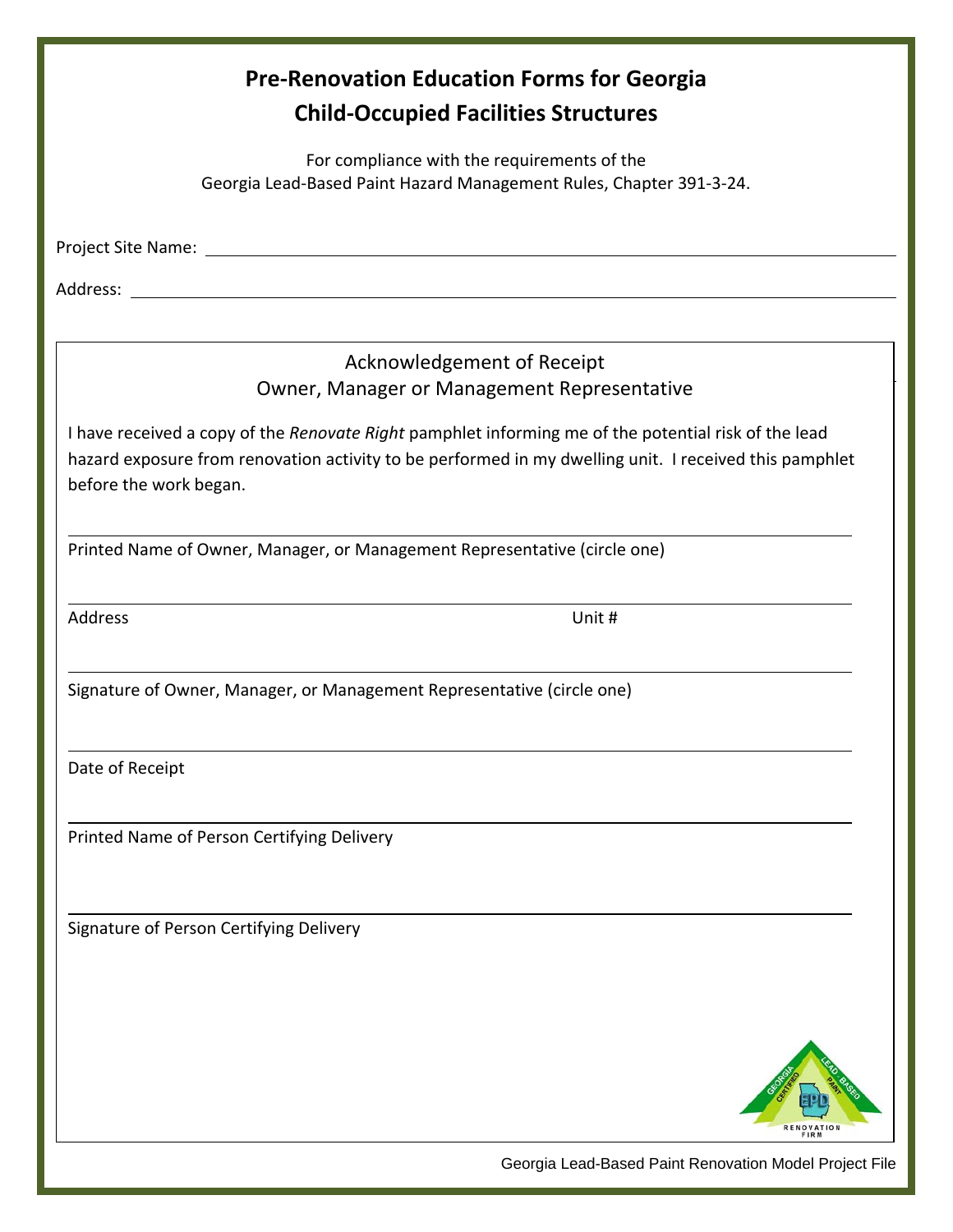| <b>Pre-Renovation Education Forms for Georgia</b><br><b>Child-Occupied Facilities Structures</b>                                                                                                                                         |
|------------------------------------------------------------------------------------------------------------------------------------------------------------------------------------------------------------------------------------------|
| For compliance with the requirements of the<br>Georgia Lead-Based Paint Hazard Management Rules, Chapter 391-3-24.                                                                                                                       |
|                                                                                                                                                                                                                                          |
|                                                                                                                                                                                                                                          |
| Acknowledgement of Receipt                                                                                                                                                                                                               |
| Owner, Manager or Management Representative                                                                                                                                                                                              |
| I have received a copy of the Renovate Right pamphlet informing me of the potential risk of the lead<br>hazard exposure from renovation activity to be performed in my dwelling unit. I received this pamphlet<br>before the work began. |
| Printed Name of Owner, Manager, or Management Representative (circle one)                                                                                                                                                                |
| Address<br>Unit #                                                                                                                                                                                                                        |
| Signature of Owner, Manager, or Management Representative (circle one)                                                                                                                                                                   |
| Date of Receipt                                                                                                                                                                                                                          |
| Printed Name of Person Certifying Delivery                                                                                                                                                                                               |
| Signature of Person Certifying Delivery                                                                                                                                                                                                  |
| FIRM                                                                                                                                                                                                                                     |

Georgia Lead-Based Paint Renovation Model Project File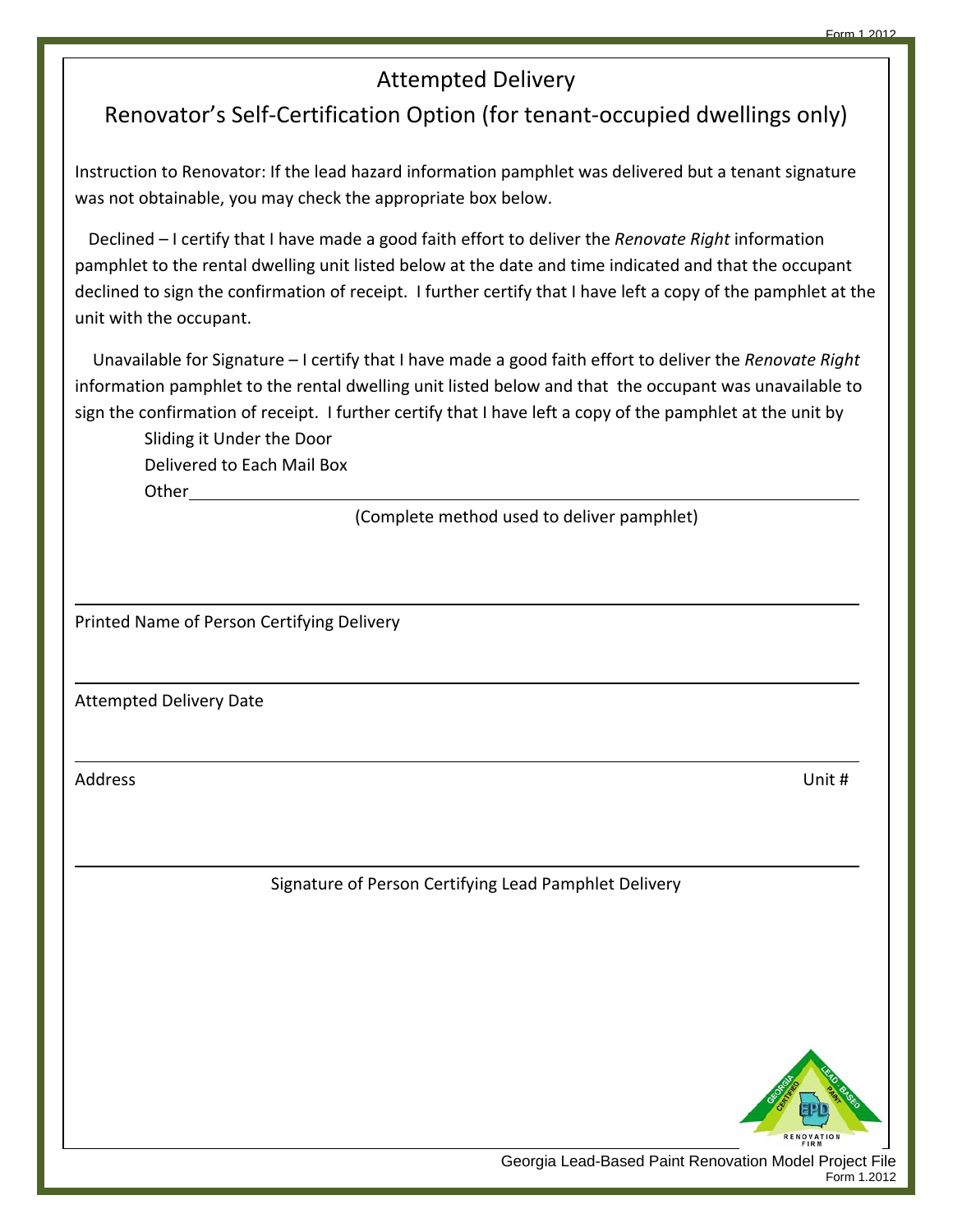### Attempted Delivery

# Renovator's Self‐Certification Option (for tenant‐occupied dwellings only)

Instruction to Renovator: If the lead hazard information pamphlet was delivered but a tenant signature was not obtainable, you may check the appropriate box below.

 Declined – I certify that I have made a good faith effort to deliver the *Renovate Right* information pamphlet to the rental dwelling unit listed below at the date and time indicated and that the occupant declined to sign the confirmation of receipt. I further certify that I have left a copy of the pamphlet at the unit with the occupant.

 Unavailable for Signature – I certify that I have made a good faith effort to deliver the *Renovate Right* information pamphlet to the rental dwelling unit listed below and that the occupant was unavailable to sign the confirmation of receipt. I further certify that I have left a copy of the pamphlet at the unit by

<u> 1980 - Andrea Santa Andrea Santa Andrea Santa Andrea Santa Andrea Santa Andrea Santa Andrea Santa Andrea San</u>

<u> 1980 - Andrea Santa Andrea Santa Andrea Santa Andrea Santa Andrea Santa Andrea Santa Andrea Santa Andrea San</u>

<u> 1980 - Andrea Barbara, amerikana amerikana amerikana amerikana amerikana amerikana amerikana amerikana amerik</u>

<u> 1980 - Andrea Santa Andrea Santa Andrea Santa Andrea Santa Andrea Santa Andrea Santa Andrea Santa Andrea San</u>

 Sliding it Under the Door Delivered to Each Mail Box Other

(Complete method used to deliver pamphlet)

Printed Name of Person Certifying Delivery

Attempted Delivery Date

Address Unit #

Signature of Person Certifying Lead Pamphlet Delivery



Georgia Lead-Based Paint Renovation Model Project File Form 1.2012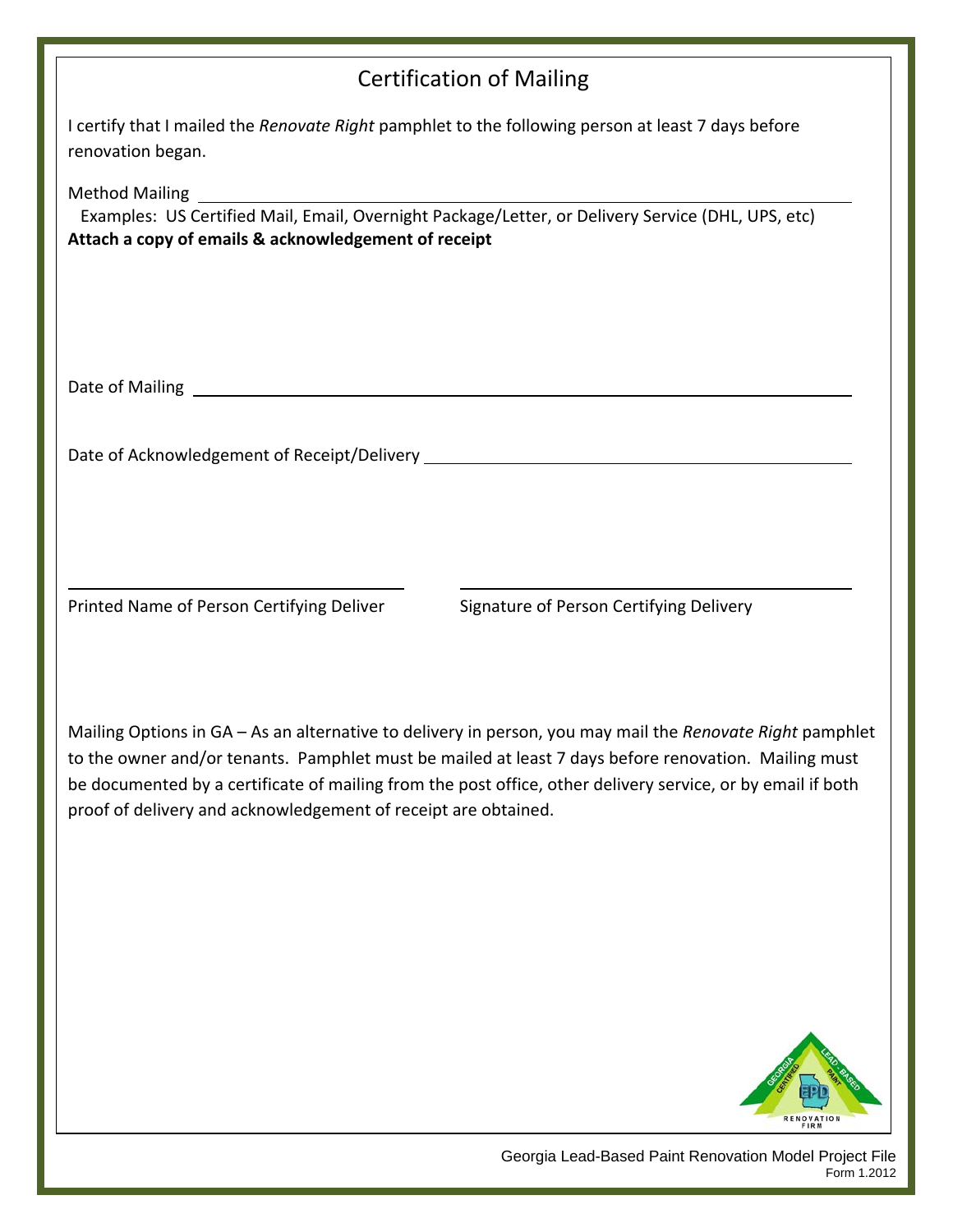## Certification of Mailing

| I certify that I mailed the <i>Renovate Right</i> pamphlet to the following person at least 7 days before |  |
|-----------------------------------------------------------------------------------------------------------|--|
| renovation began.                                                                                         |  |

Method Mailing

 Examples: US Certified Mail, Email, Overnight Package/Letter, or Delivery Service (DHL, UPS, etc) **Attach a copy of emails & acknowledgement of receipt**

Date of Mailing

Date of Acknowledgement of Receipt/Delivery

Printed Name of Person Certifying Deliver Signature of Person Certifying Delivery

Mailing Options in GA – As an alternative to delivery in person, you may mail the *Renovate Right* pamphlet to the owner and/or tenants. Pamphlet must be mailed at least 7 days before renovation. Mailing must be documented by a certificate of mailing from the post office, other delivery service, or by email if both proof of delivery and acknowledgement of receipt are obtained.

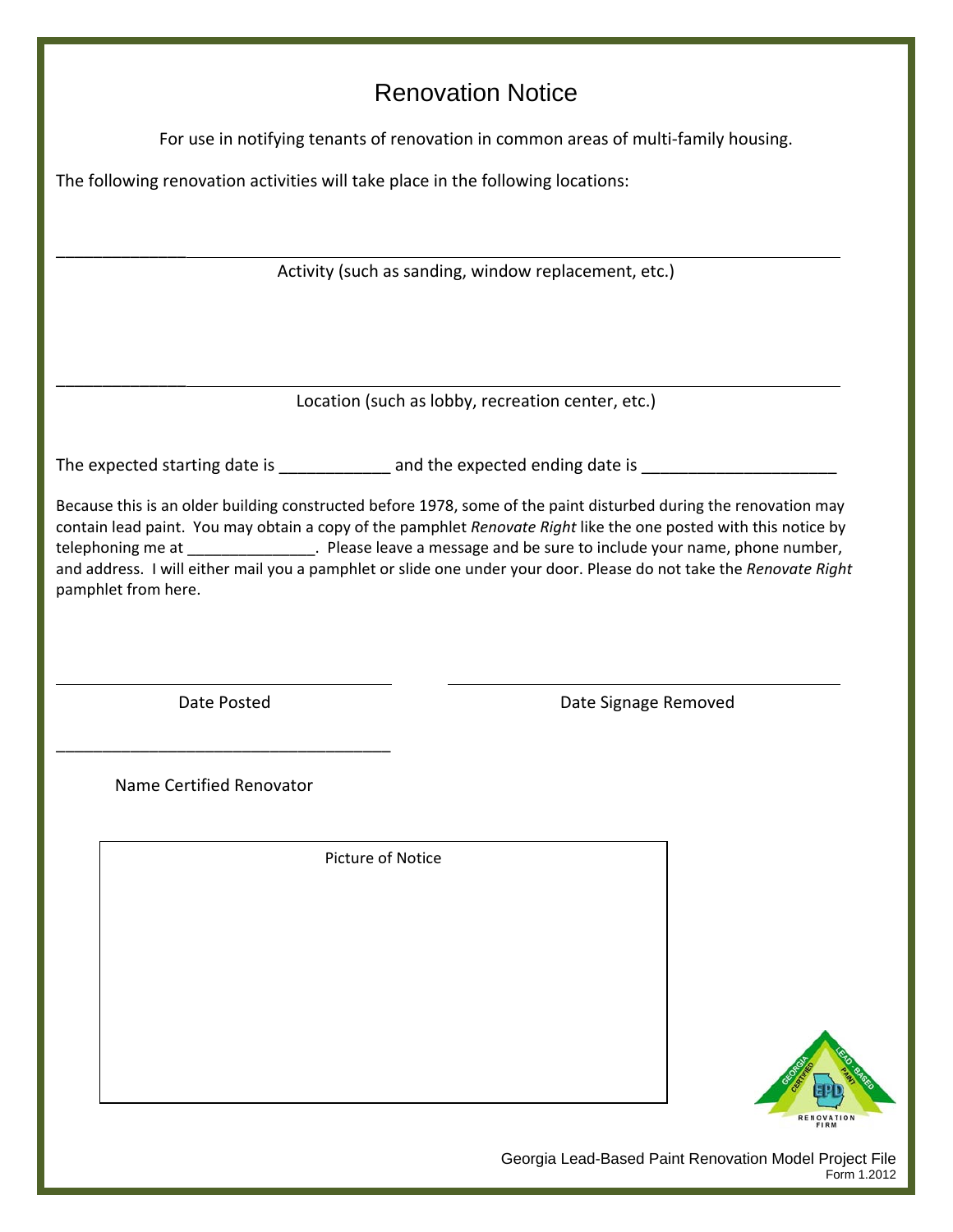# Renovation Notice

For use in notifying tenants of renovation in common areas of multi‐family housing.

The following renovation activities will take place in the following locations:

Activity (such as sanding, window replacement, etc.)

\_\_\_\_\_\_\_\_\_\_\_\_\_\_

\_\_\_\_\_\_\_\_\_\_\_\_\_\_

Location (such as lobby, recreation center, etc.)

The expected starting date is \_\_\_\_\_\_\_\_\_\_\_\_ and the expected ending date is \_\_\_\_\_\_\_\_\_\_\_\_\_\_\_\_\_\_\_\_\_\_\_\_

Because this is an older building constructed before 1978, some of the paint disturbed during the renovation may contain lead paint. You may obtain a copy of the pamphlet *Renovate Right* like the one posted with this notice by telephoning me at \_\_\_\_\_\_\_\_\_\_\_\_\_\_\_. Please leave a message and be sure to include your name, phone number, and address. I will either mail you a pamphlet or slide one under your door. Please do not take the *Renovate Right*  pamphlet from here.

\_\_\_\_\_\_\_\_\_\_\_\_\_\_\_\_\_\_\_\_\_\_\_\_\_\_\_\_\_\_\_\_\_\_\_\_

Date Posted **Date Signage Removed** 

Name Certified Renovator

Picture of Notice

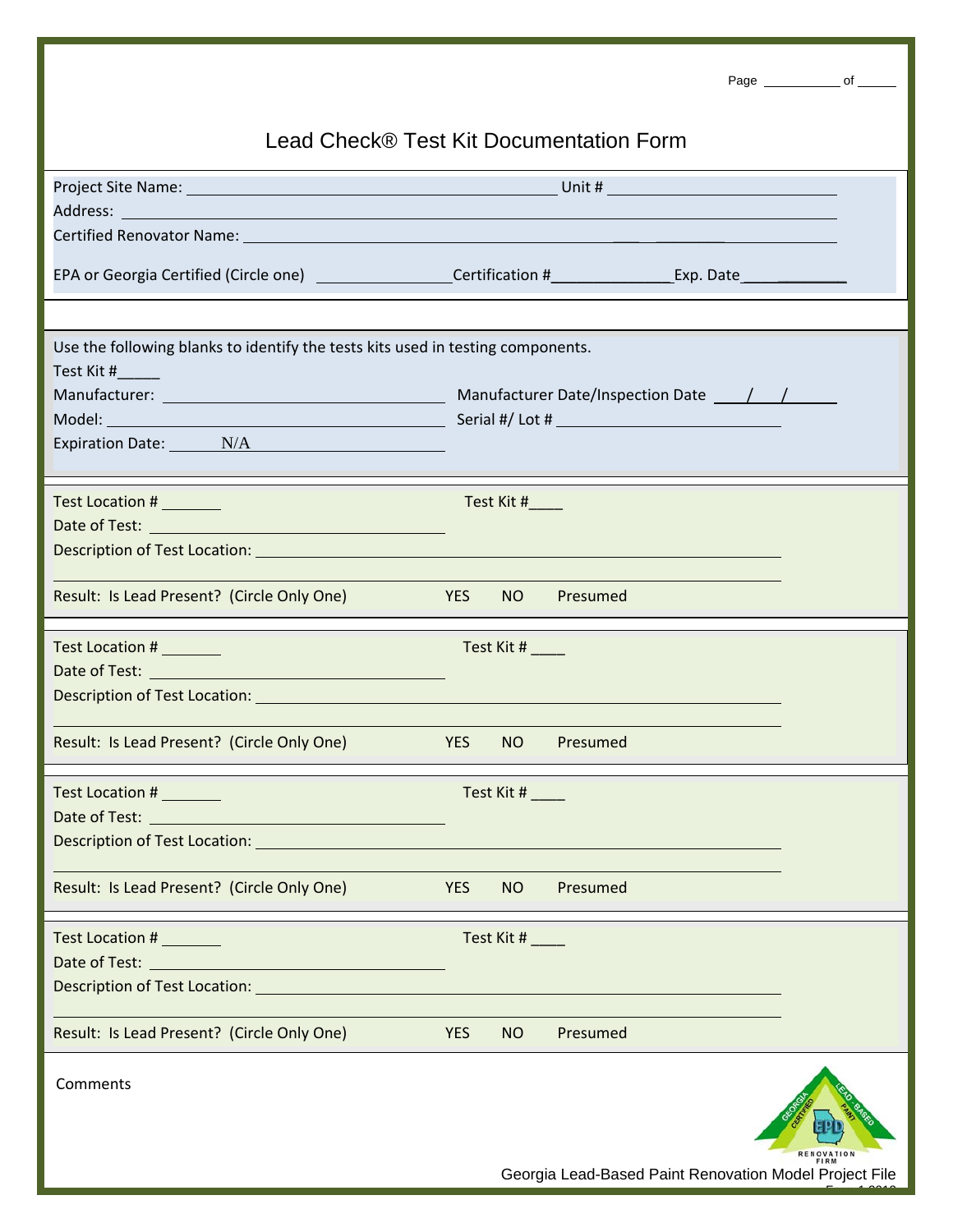|                                                                                                                 |                       |            |                                                        | Page ________________ of _______ |  |
|-----------------------------------------------------------------------------------------------------------------|-----------------------|------------|--------------------------------------------------------|----------------------------------|--|
| Lead Check® Test Kit Documentation Form                                                                         |                       |            |                                                        |                                  |  |
|                                                                                                                 |                       |            |                                                        |                                  |  |
|                                                                                                                 |                       |            |                                                        |                                  |  |
|                                                                                                                 |                       |            |                                                        |                                  |  |
| Certified Renovator Name: Name: Name: Name: Name: Name: Name: Name: Name: Name: Name: Name: Name: Name: Name: N |                       |            |                                                        |                                  |  |
|                                                                                                                 |                       |            |                                                        |                                  |  |
|                                                                                                                 |                       |            |                                                        |                                  |  |
| Use the following blanks to identify the tests kits used in testing components.                                 |                       |            |                                                        |                                  |  |
| Test Kit #                                                                                                      |                       |            |                                                        |                                  |  |
|                                                                                                                 |                       |            |                                                        |                                  |  |
|                                                                                                                 |                       |            |                                                        |                                  |  |
|                                                                                                                 |                       |            |                                                        |                                  |  |
|                                                                                                                 |                       |            |                                                        |                                  |  |
| Test Location #                                                                                                 |                       | Test Kit # |                                                        |                                  |  |
|                                                                                                                 |                       |            |                                                        |                                  |  |
|                                                                                                                 |                       |            |                                                        |                                  |  |
| Result: Is Lead Present? (Circle Only One)                                                                      | <b>Example 19 YES</b> |            | NO Presumed                                            |                                  |  |
| Test Location # ________                                                                                        |                       | Test Kit # |                                                        |                                  |  |
|                                                                                                                 |                       |            |                                                        |                                  |  |
|                                                                                                                 |                       |            |                                                        |                                  |  |
|                                                                                                                 |                       |            |                                                        |                                  |  |
| Result: Is Lead Present? (Circle Only One)                                                                      | <b>YES</b>            | NO         | Presumed                                               |                                  |  |
| Test Location #                                                                                                 |                       | Test Kit # |                                                        |                                  |  |
|                                                                                                                 |                       |            |                                                        |                                  |  |
| Description of Test Location: New York Contract of the Contract of Test Location of Test Location:              |                       |            |                                                        |                                  |  |
|                                                                                                                 |                       |            |                                                        |                                  |  |
| Result: Is Lead Present? (Circle Only One)                                                                      | <b>YES</b>            | NO         | Presumed                                               |                                  |  |
| Test Location # ________                                                                                        |                       | Test Kit # |                                                        |                                  |  |
|                                                                                                                 |                       |            |                                                        |                                  |  |
| Description of Test Location: New York Contract of Test Location:                                               |                       |            |                                                        |                                  |  |
|                                                                                                                 |                       |            |                                                        |                                  |  |
| Result: Is Lead Present? (Circle Only One)                                                                      | <b>YES</b>            | NO         | Presumed                                               |                                  |  |
| Comments                                                                                                        |                       |            | Georgia Lead-Based Paint Renovation Model Project File |                                  |  |
|                                                                                                                 |                       |            |                                                        |                                  |  |

Form 1.2012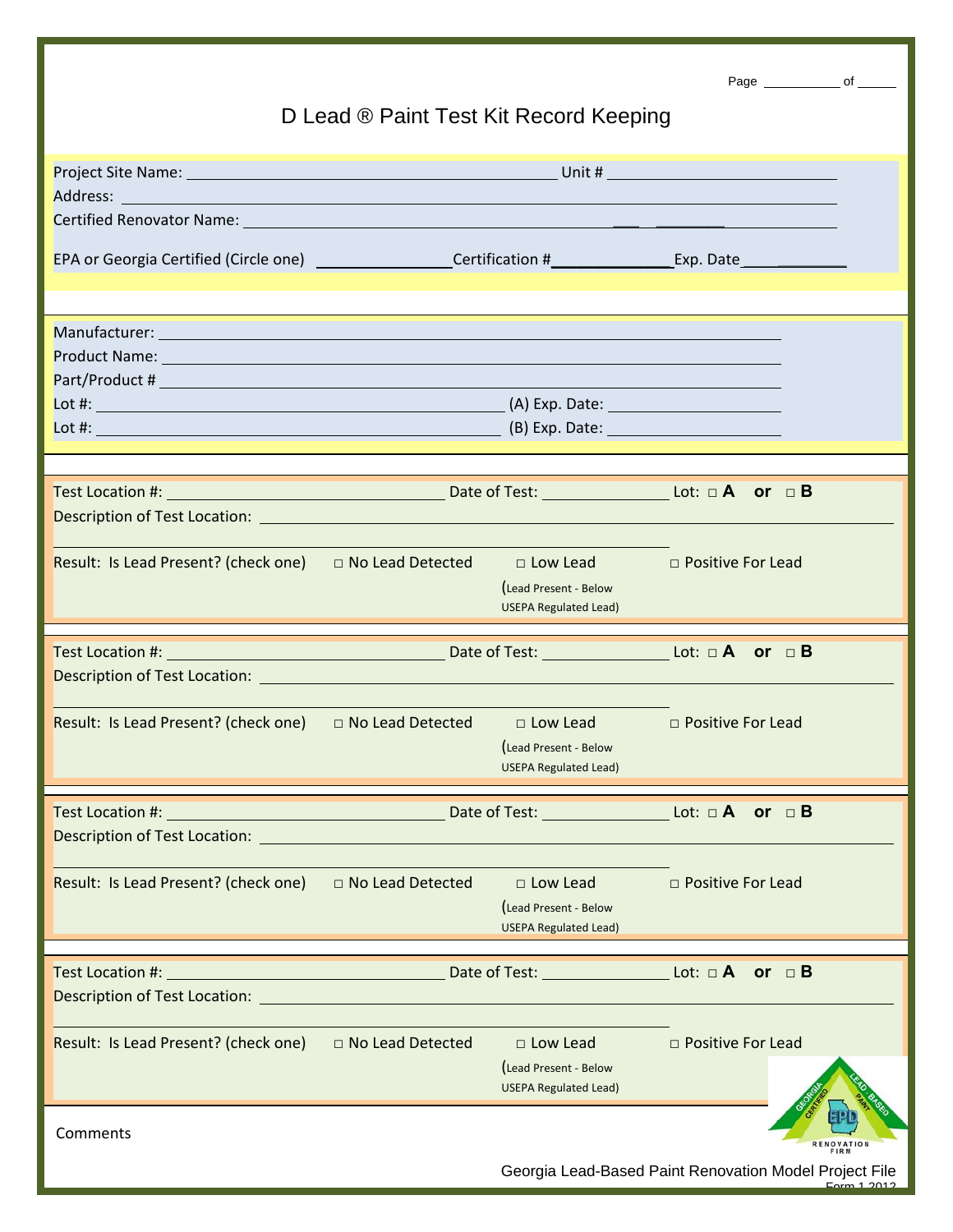|                                                                                                                                                                                                                                      | D Lead ® Paint Test Kit Record Keeping |                                                        |                          | Page ________________ of _______ |      |
|--------------------------------------------------------------------------------------------------------------------------------------------------------------------------------------------------------------------------------------|----------------------------------------|--------------------------------------------------------|--------------------------|----------------------------------|------|
|                                                                                                                                                                                                                                      |                                        |                                                        |                          |                                  |      |
| Address: <u>Address: Address: Address: Address: Address: Address: Address: Address: Address: Address: Address: Address: Address: Address: Address: Address: Address: Address: Address: Address: Address: Address: Address: Addre</u> |                                        |                                                        |                          |                                  |      |
|                                                                                                                                                                                                                                      |                                        |                                                        |                          |                                  |      |
|                                                                                                                                                                                                                                      |                                        |                                                        |                          |                                  |      |
|                                                                                                                                                                                                                                      |                                        |                                                        |                          |                                  |      |
| Product Name: Name and Secretary Annual Secretary and Secretary Annual Secretary Annual Secretary Annual Secretary Annual Secretary Annual Secretary Annual Secretary Annual Secretary Annual Secretary Annual Secretary Annua       |                                        |                                                        |                          |                                  |      |
|                                                                                                                                                                                                                                      |                                        |                                                        |                          |                                  |      |
|                                                                                                                                                                                                                                      |                                        |                                                        |                          |                                  |      |
|                                                                                                                                                                                                                                      |                                        |                                                        |                          |                                  |      |
|                                                                                                                                                                                                                                      |                                        |                                                        |                          |                                  |      |
|                                                                                                                                                                                                                                      |                                        |                                                        |                          |                                  |      |
|                                                                                                                                                                                                                                      |                                        |                                                        |                          |                                  |      |
|                                                                                                                                                                                                                                      |                                        |                                                        |                          |                                  |      |
|                                                                                                                                                                                                                                      |                                        |                                                        | □ Positive For Lead      |                                  |      |
|                                                                                                                                                                                                                                      |                                        | (Lead Present - Below                                  |                          |                                  |      |
|                                                                                                                                                                                                                                      |                                        |                                                        |                          |                                  |      |
|                                                                                                                                                                                                                                      |                                        | <b>USEPA Regulated Lead)</b>                           |                          |                                  |      |
|                                                                                                                                                                                                                                      |                                        |                                                        |                          |                                  |      |
|                                                                                                                                                                                                                                      |                                        |                                                        |                          |                                  |      |
|                                                                                                                                                                                                                                      |                                        |                                                        |                          |                                  |      |
| Result: Is Lead Present? (check one) D No Lead Detected                                                                                                                                                                              |                                        | □ Low Lead □ Positive For Lead                         |                          |                                  |      |
|                                                                                                                                                                                                                                      |                                        | Lead Present - Below                                   |                          |                                  |      |
|                                                                                                                                                                                                                                      |                                        | <b>USEPA Regulated Lead)</b>                           |                          |                                  |      |
|                                                                                                                                                                                                                                      |                                        |                                                        |                          |                                  |      |
|                                                                                                                                                                                                                                      |                                        | Date of Test: Lot: $\Box$ A or $\Box$ B                |                          |                                  |      |
| Description of Test Location: ____                                                                                                                                                                                                   |                                        |                                                        |                          |                                  |      |
| Result: Is Lead Present? (check one)                                                                                                                                                                                                 | □ No Lead Detected                     | $\Box$ Low Lead                                        | $\Box$ Positive For Lead |                                  |      |
|                                                                                                                                                                                                                                      |                                        | (Lead Present - Below                                  |                          |                                  |      |
|                                                                                                                                                                                                                                      |                                        | <b>USEPA Regulated Lead)</b>                           |                          |                                  |      |
|                                                                                                                                                                                                                                      |                                        |                                                        |                          |                                  |      |
|                                                                                                                                                                                                                                      |                                        |                                                        |                          |                                  |      |
| Description of Test Location: <u>contract the contract of the contract of the contract of the contract of the contract of the contract of the contract of the contract of the contract of the contract of the contract of the co</u> |                                        |                                                        |                          |                                  |      |
| Result: Is Lead Present? (check one)                                                                                                                                                                                                 | □ No Lead Detected                     | $\Box$ Low Lead                                        | $\Box$ Positive For Lead |                                  |      |
|                                                                                                                                                                                                                                      |                                        | (Lead Present - Below                                  |                          |                                  |      |
|                                                                                                                                                                                                                                      |                                        | <b>USEPA Regulated Lead)</b>                           |                          |                                  |      |
|                                                                                                                                                                                                                                      |                                        |                                                        |                          |                                  |      |
| Comments                                                                                                                                                                                                                             |                                        | Georgia Lead-Based Paint Renovation Model Project File |                          |                                  | FIRM |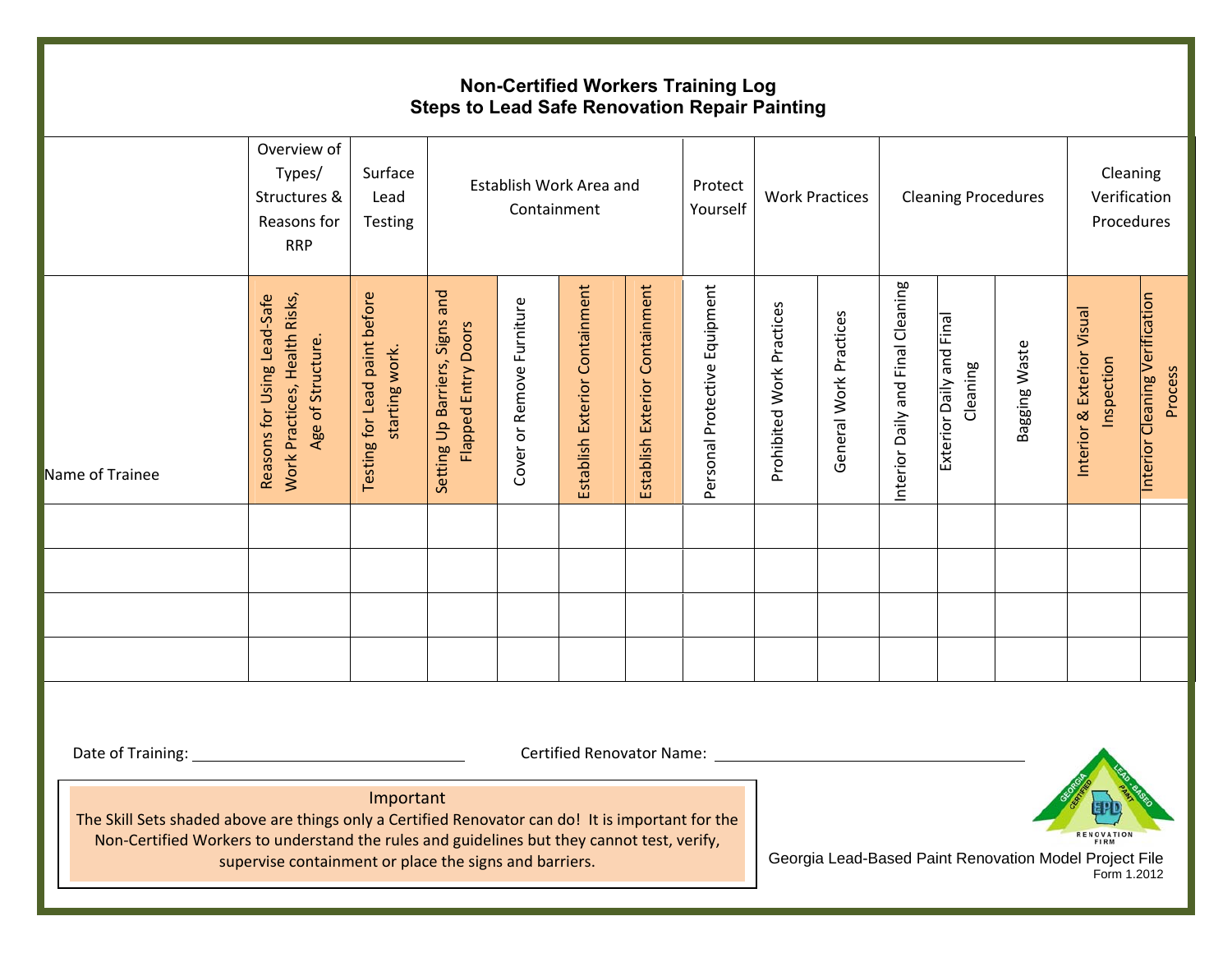#### **Non-Certified Workers Training Log Steps to Lead Safe Renovation Repair Painting**

|                                                                                                                                                                                                                      | Overview of<br>Types/<br>Structures &<br>Reasons for<br><b>RRP</b>                | Surface<br>Lead<br>Testing                      |                                                                    | Containment               | Establish Work Area and        |                                | Protect<br>Yourself           |                           | <b>Work Practices</b>  |                                   | <b>Cleaning Procedures</b>           |                                                        | Cleaning<br>Verification<br>Procedures   |                                           |
|----------------------------------------------------------------------------------------------------------------------------------------------------------------------------------------------------------------------|-----------------------------------------------------------------------------------|-------------------------------------------------|--------------------------------------------------------------------|---------------------------|--------------------------------|--------------------------------|-------------------------------|---------------------------|------------------------|-----------------------------------|--------------------------------------|--------------------------------------------------------|------------------------------------------|-------------------------------------------|
| Name of Trainee                                                                                                                                                                                                      | Work Practices, Health Risks,<br>Reasons for Using Lead-Safe<br>Age of Structure. | Testing for Lead paint before<br>starting work. | and<br>Signs<br><b>Flapped Entry Doors</b><br>Setting Up Barriers, | Cover or Remove Furniture | Establish Exterior Containment | Establish Exterior Containment | Personal Protective Equipment | Prohibited Work Practices | General Work Practices | Interior Daily and Final Cleaning | Exterior Daily and Final<br>Cleaning | Bagging Waste                                          | Interior & Exterior Visual<br>Inspection | Interior Cleaning Verification<br>Process |
|                                                                                                                                                                                                                      |                                                                                   |                                                 |                                                                    |                           |                                |                                |                               |                           |                        |                                   |                                      |                                                        |                                          |                                           |
|                                                                                                                                                                                                                      |                                                                                   |                                                 |                                                                    |                           |                                |                                |                               |                           |                        |                                   |                                      |                                                        |                                          |                                           |
|                                                                                                                                                                                                                      |                                                                                   |                                                 |                                                                    |                           |                                |                                |                               |                           |                        |                                   |                                      |                                                        |                                          |                                           |
|                                                                                                                                                                                                                      |                                                                                   |                                                 |                                                                    |                           |                                |                                |                               |                           |                        |                                   |                                      |                                                        |                                          |                                           |
| Date of Training:<br>The Skill Sets shaded above are things only a Certified Renovator can do! It is important for the<br>Non-Certified Workers to understand the rules and guidelines but they cannot test, verify, |                                                                                   | Important                                       |                                                                    |                           |                                |                                |                               |                           |                        |                                   |                                      |                                                        |                                          |                                           |
|                                                                                                                                                                                                                      | supervise containment or place the signs and barriers.                            |                                                 |                                                                    |                           |                                |                                |                               |                           |                        |                                   |                                      | Georgia Lead-Based Paint Renovation Model Project File |                                          |                                           |

Form 1.2012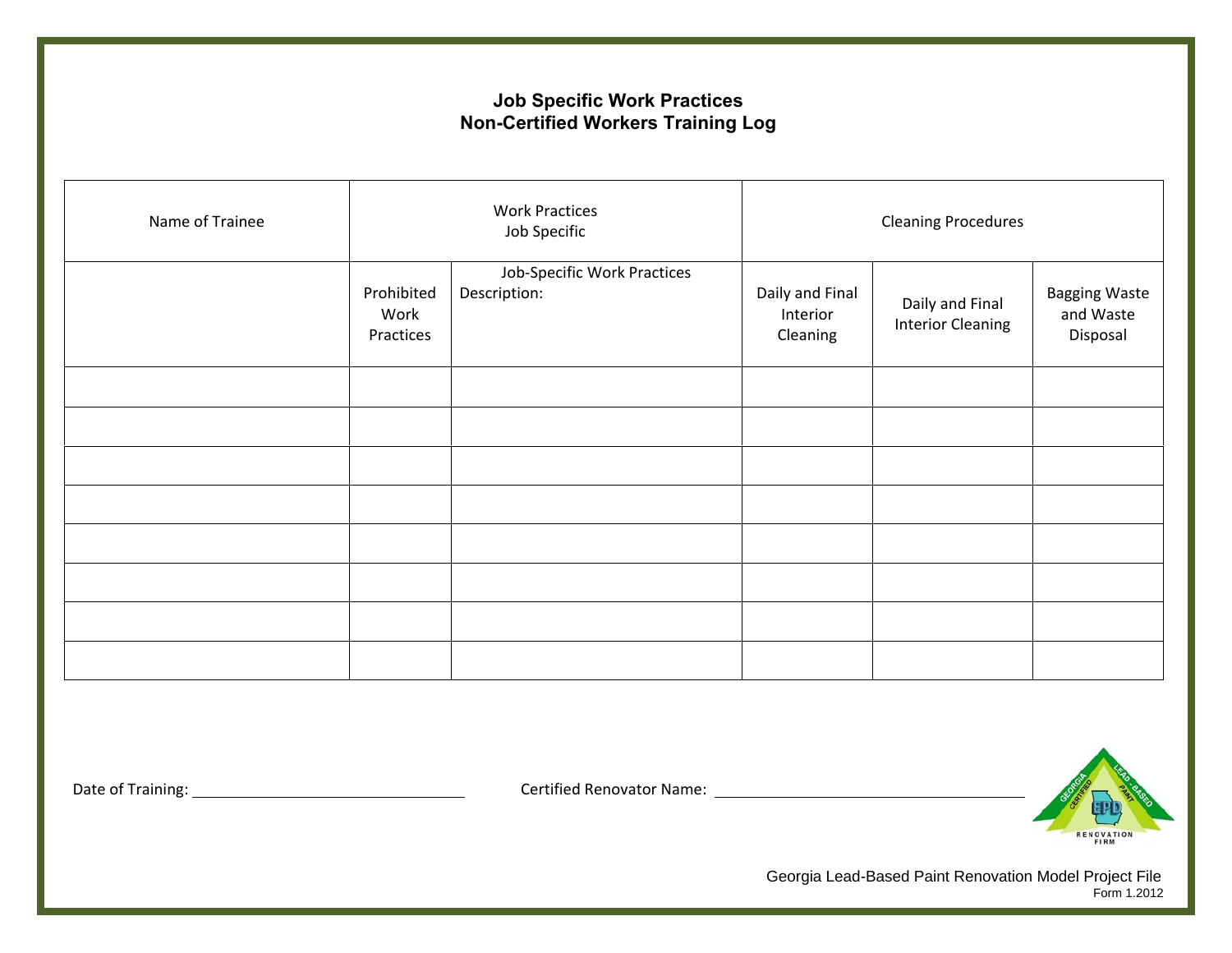#### **Job Specific Work Practices Non-Certified Workers Training Log**

| Name of Trainee |                                 | <b>Work Practices</b><br><b>Cleaning Procedures</b><br>Job Specific |                                         |                                             |                                               |
|-----------------|---------------------------------|---------------------------------------------------------------------|-----------------------------------------|---------------------------------------------|-----------------------------------------------|
|                 | Prohibited<br>Work<br>Practices | Job-Specific Work Practices<br>Description:                         | Daily and Final<br>Interior<br>Cleaning | Daily and Final<br><b>Interior Cleaning</b> | <b>Bagging Waste</b><br>and Waste<br>Disposal |
|                 |                                 |                                                                     |                                         |                                             |                                               |
|                 |                                 |                                                                     |                                         |                                             |                                               |
|                 |                                 |                                                                     |                                         |                                             |                                               |
|                 |                                 |                                                                     |                                         |                                             |                                               |
|                 |                                 |                                                                     |                                         |                                             |                                               |
|                 |                                 |                                                                     |                                         |                                             |                                               |
|                 |                                 |                                                                     |                                         |                                             |                                               |
|                 |                                 |                                                                     |                                         |                                             |                                               |

Date of Training: Certified Renovator Name:



Georgia Lead-Based Paint Renovation Model Project File Form 1.2012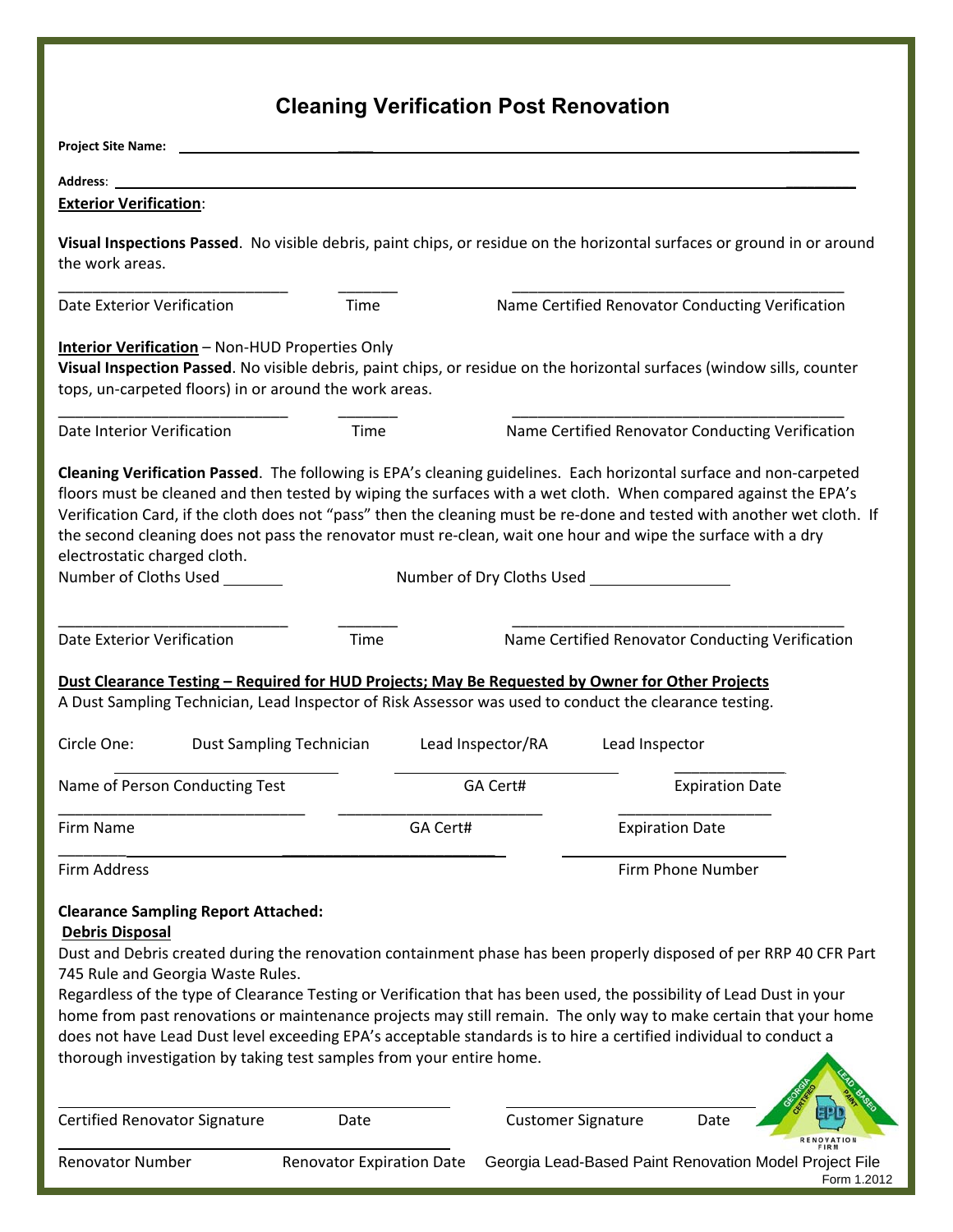# **Cleaning Verification Post Renovation**

| <b>Project Site Name:</b>                                                                                                                                                                                                                                                                                                                                                                                                                                                                                                                                                                                                                                               |                                  |          |                   |                           |                        |                                                                       |
|-------------------------------------------------------------------------------------------------------------------------------------------------------------------------------------------------------------------------------------------------------------------------------------------------------------------------------------------------------------------------------------------------------------------------------------------------------------------------------------------------------------------------------------------------------------------------------------------------------------------------------------------------------------------------|----------------------------------|----------|-------------------|---------------------------|------------------------|-----------------------------------------------------------------------|
| <b>Address:</b>                                                                                                                                                                                                                                                                                                                                                                                                                                                                                                                                                                                                                                                         |                                  |          |                   |                           |                        |                                                                       |
| <b>Exterior Verification:</b>                                                                                                                                                                                                                                                                                                                                                                                                                                                                                                                                                                                                                                           |                                  |          |                   |                           |                        |                                                                       |
| Visual Inspections Passed. No visible debris, paint chips, or residue on the horizontal surfaces or ground in or around<br>the work areas.                                                                                                                                                                                                                                                                                                                                                                                                                                                                                                                              |                                  |          |                   |                           |                        |                                                                       |
| <b>Date Exterior Verification</b>                                                                                                                                                                                                                                                                                                                                                                                                                                                                                                                                                                                                                                       | Time                             |          |                   |                           |                        | Name Certified Renovator Conducting Verification                      |
| <b>Interior Verification</b> - Non-HUD Properties Only<br>Visual Inspection Passed. No visible debris, paint chips, or residue on the horizontal surfaces (window sills, counter<br>tops, un-carpeted floors) in or around the work areas.                                                                                                                                                                                                                                                                                                                                                                                                                              |                                  |          |                   |                           |                        |                                                                       |
| Date Interior Verification                                                                                                                                                                                                                                                                                                                                                                                                                                                                                                                                                                                                                                              | Time                             |          |                   |                           |                        | Name Certified Renovator Conducting Verification                      |
| Cleaning Verification Passed. The following is EPA's cleaning guidelines. Each horizontal surface and non-carpeted<br>floors must be cleaned and then tested by wiping the surfaces with a wet cloth. When compared against the EPA's<br>Verification Card, if the cloth does not "pass" then the cleaning must be re-done and tested with another wet cloth. If<br>the second cleaning does not pass the renovator must re-clean, wait one hour and wipe the surface with a dry<br>electrostatic charged cloth.<br>Number of Cloths Used _______                                                                                                                       |                                  |          |                   |                           |                        |                                                                       |
| <b>Date Exterior Verification</b><br><u>Dust Clearance Testing - Required for HUD Projects; May Be Requested by Owner for Other Projects</u><br>A Dust Sampling Technician, Lead Inspector of Risk Assessor was used to conduct the clearance testing.                                                                                                                                                                                                                                                                                                                                                                                                                  | Time                             |          |                   |                           |                        | Name Certified Renovator Conducting Verification                      |
| Circle One:                                                                                                                                                                                                                                                                                                                                                                                                                                                                                                                                                                                                                                                             | <b>Dust Sampling Technician</b>  |          | Lead Inspector/RA | Lead Inspector            |                        |                                                                       |
| Name of Person Conducting Test                                                                                                                                                                                                                                                                                                                                                                                                                                                                                                                                                                                                                                          |                                  |          | GA Cert#          |                           | <b>Expiration Date</b> |                                                                       |
| Firm Name                                                                                                                                                                                                                                                                                                                                                                                                                                                                                                                                                                                                                                                               |                                  | GA Cert# |                   |                           | <b>Expiration Date</b> |                                                                       |
| Firm Address                                                                                                                                                                                                                                                                                                                                                                                                                                                                                                                                                                                                                                                            |                                  |          |                   |                           | Firm Phone Number      |                                                                       |
| <b>Clearance Sampling Report Attached:</b><br><b>Debris Disposal</b><br>Dust and Debris created during the renovation containment phase has been properly disposed of per RRP 40 CFR Part<br>745 Rule and Georgia Waste Rules.<br>Regardless of the type of Clearance Testing or Verification that has been used, the possibility of Lead Dust in your<br>home from past renovations or maintenance projects may still remain. The only way to make certain that your home<br>does not have Lead Dust level exceeding EPA's acceptable standards is to hire a certified individual to conduct a<br>thorough investigation by taking test samples from your entire home. |                                  |          |                   |                           |                        |                                                                       |
| Certified Renovator Signature                                                                                                                                                                                                                                                                                                                                                                                                                                                                                                                                                                                                                                           | Date                             |          |                   | <b>Customer Signature</b> | Date                   | <b>OVATION</b>                                                        |
| Renovator Number                                                                                                                                                                                                                                                                                                                                                                                                                                                                                                                                                                                                                                                        | <b>Renovator Expiration Date</b> |          |                   |                           |                        | Georgia Lead-Based Paint Renovation Model Project File<br>Form 1.2012 |